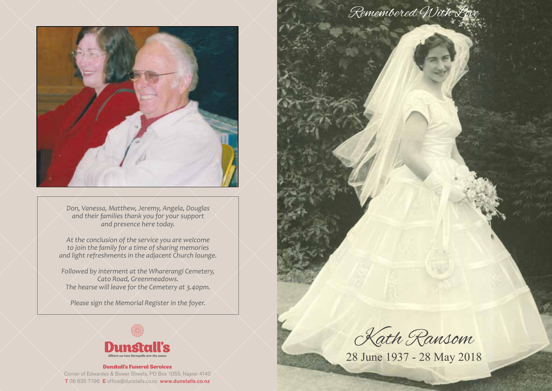

*Don, Vanessa, Matthew, Jeremy, Angela, Douglas and their families thank you for your support and presence here today.*

*At the conclusion of the service you are welcome to join the family for a time of sharing memories and light refreshments in the adjacent Church lounge.*

*Followed by interment at the Wharerangi Cemetery, Cato Road, Greenmeadows. The hearse will leave for the Cemetery at 3.40pm.*

*Please sign the Memorial Register in the foyer.*



Dunstall's Funeral Services Corner of Edwardes & Bower Streets, PO Box 1055, Napier 4140 T 06 835 7196 E office@dunstalls.co.nz www.dunstalls.co.nz



Kath Ransom

28 June 1937 - 28 May 2018